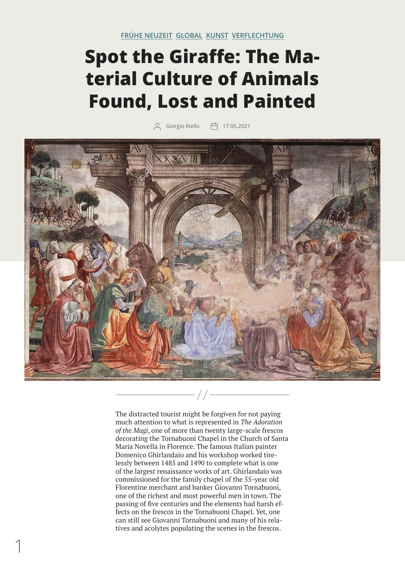## **Spot the Giraffe: The Material Culture of Animals Found, Lost and Painted**

0 Giorgio Riello († 17.05.2021



The distracted tourist might be forgiven for not paying much attention to what is represented in *The Adoration of the Magi*, one of more than twenty large-scale frescos decorating the Tornabuoni Chapel in the Church of Santa Maria Novella in Florence. The famous Italian painter Domenico Ghirlandaio and his workshop worked tirelessly between 1485 and 1490 to complete what is one of the largest renaissance works of art. Ghirlandaio was commissioned for the family chapel of the 55-year old Florentine merchant and banker Giovanni Tornabuoni, one of the richest and most powerful men in town. The passing of five centuries and the elements had harsh effects on the frescos in the Tornabuoni Chapel. Yet, one can still see Giovanni Tornabuoni and many of his relatives and acolytes populating the scenes in the frescos.

1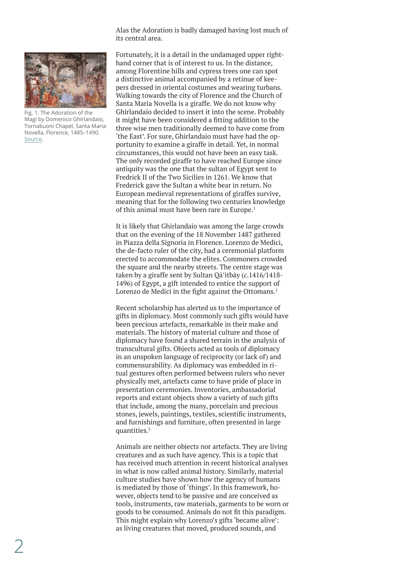Alas the Adoration is badly damaged having lost much of its central area.

<span id="page-1-0"></span>

Fig. 1: The Adoration of the Magi by Domenico Ghirlandaio, Tornabuoni Chapel, Santa Maria Novella, Florence, 1485–1490. [Source.](https://commons.wikimedia.org/wiki/File:Cappella_Tornabuoni,_Adoration_of_the_Magi_01.jpg)

Fortunately, it is a detail in the undamaged upper righthand corner that is of interest to us. In the distance, among Florentine hills and cypress trees one can spot a distinctive animal accompanied by a retinue of keepers dressed in oriental costumes and wearing turbans. Walking towards the city of Florence and the Church of Santa Maria Novella is a giraffe. We do not know why Ghirlandaio decided to insert it into the scene. Probably it might have been considered a fitting addition to the three wise men traditionally deemed to have come from 'the East'. For sure, Ghirlandaio must have had the opportunity to examine a giraffe in detail. Yet, in normal circumstances, this would not have been an easy task. The only recorded giraffe to have reached Europe since antiquity was the one that the sultan of Egypt sent to Fredrick II of the Two Sicilies in 1261. We know that Frederick gave the Sultan a white bear in return. No European medieval representations of giraffes survive, meaning that for the following two centuries knowledge of this animal must have been rare in Europe.<sup>1</sup>

It is likely that Ghirlandaio was among the large crowds that on the evening of the 18 November 1487 gathered in Piazza della Signoria in Florence. Lorenzo de Medici, the de-facto ruler of the city, had a ceremonial platform erected to accommodate the elites. Commoners crowded the square and the nearby streets. The centre stage was taken by a giraffe sent by Sultan Qā'itbāy (*c*.1416/1418- 1496) of Egypt, a gift intended to entice the support of Lorenzo de Medici in the fight against the Ottomans.<sup>[2](#page-4-0)</sup>

Recent scholarship has alerted us to the importance of gifts in diplomacy. Most commonly such gifts would have been precious artefacts, remarkable in their make and materials. The history of material culture and those of diplomacy have found a shared terrain in the analysis of transcultural gifts. Objects acted as tools of diplomacy in an unspoken language of reciprocity (or lack of) and commensurability. As diplomacy was embedded in ritual gestures often performed between rulers who never physically met, artefacts came to have pride of place in presentation ceremonies. Inventories, ambassadorial reports and extant objects show a variety of such gifts that include, among the many, porcelain and precious stones, jewels, paintings, textiles, scientific instruments, and furnishings and furniture, often presented in large quantities[.3](#page-4-0)

Animals are neither objects nor artefacts. They are living creatures and as such have agency. This is a topic that has received much attention in recent historical analyses in what is now called animal history. Similarly, material culture studies have shown how the agency of humans is mediated by those of 'things'. In this framework, however, objects tend to be passive and are conceived as tools, instruments, raw materials, garments to be worn or goods to be consumed. Animals do not fit this paradigm. This might explain why Lorenzo's gifts 'became alive': as living creatures that moved, produced sounds, and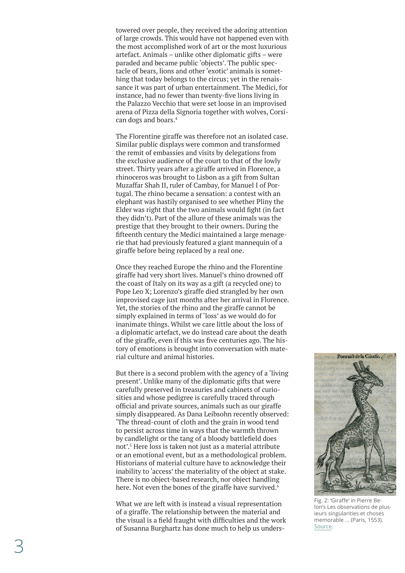<span id="page-2-0"></span>towered over people, they received the adoring attention of large crowds. This would have not happened even with the most accomplished work of art or the most luxurious artefact. Animals – unlike other diplomatic gifts – were paraded and became public 'objects'. The public spec tacle of bears, lions and other 'exotic' animals is somet hing that today belongs to the circus; yet in the renais sance it was part of urban entertainment. The Medici, for instance, had no fewer than twenty-five lions living in the Palazzo Vecchio that were set loose in an improvised arena of Pizza della Signoria together with wolves, Corsi can dogs and boars. [4](#page-4-0)

The Florentine giraffe was therefore not an isolated case. Similar public displays were common and transformed the remit of embassies and visits by delegations from the exclusive audience of the court to that of the lowly street. Thirty years after a giraffe arrived in Florence, a rhinoceros was brought to Lisbon as a gift from Sultan Muzaffar Shah II, ruler of Cambay, for Manuel I of Por tugal. The rhino became a sensation: a contest with an elephant was hastily organised to see whether Pliny the Elder was right that the two animals would fight (in fact they didn't). Part of the allure of these animals was the prestige that they brought to their owners. During the fifteenth century the Medici maintained a large menage rie that had previously featured a giant mannequin of a giraffe before being replaced by a real one.

Once they reached Europe the rhino and the Florentine giraffe had very short lives. Manuel's rhino drowned off the coast of Italy on its way as a gift (a recycled one) to Pope Leo X; Lorenzo's giraffe died strangled by her own improvised cage just months after her arrival in Florence. Yet, the stories of the rhino and the giraffe cannot be simply explained in terms of 'loss' as we would do for inanimate things. Whilst we care little about the loss of a diplomatic artefact, we do instead care about the death of the giraffe, even if this was five centuries ago. The his tory of emotions is brought into conversation with mate rial culture and animal histories.

But there is a second problem with the agency of a 'living present'. Unlike many of the diplomatic gifts that were carefully preserved in treasuries and cabinets of curio sities and whose pedigree is carefully traced through official and private sources, animals such as our giraffe simply disappeared. As Dana Leibsohn recently observed: 'The thread-count of cloth and the grain in wood tend to persist across time in ways that the warmth thrown by candlelight or the tang of a bloody battlefield does not'. [5](#page-4-0) Here loss is taken not just as a material attribute or an emotional event, but as a methodological problem. Historians of material culture have to acknowledge their inability to 'access' the materiality of the object at stake. There is no object-based research, nor object handling here. Not even the bones of the giraffe have survived.<sup>[6](#page-4-0)</sup>

What we are left with is instead a visual representation of a giraffe. The relationship between the material and the visual is a field fraught with difficulties and the work of Susanna Burghartz has done much to help us unders -



Fig. 2: 'Giraffe' in Pierre Be lon's Les observations de plus ieurs singularities et choses memorable ... (Paris, 1553). [Source](https://commons.wikimedia.org/wiki/File:Portrait_de_la_Giraffe_-_Belon_Pierre_-_1554.jpg) .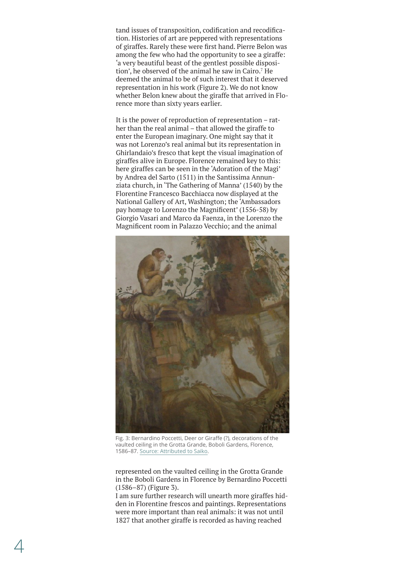<span id="page-3-0"></span>tand issues of transposition, codification and recodification. Histories of art are peppered with representations of giraffes. Rarely these were first hand. Pierre Belon was among the few who had the opportunity to see a giraffe: 'a very beautiful beast of the gentlest possible disposition', he observed of the animal he saw in Cairo.<sup>7</sup> He deemed the animal to be of such interest that it deserved representation in his work (Figure 2). We do not know whether Belon knew about the giraffe that arrived in Florence more than sixty years earlier.

It is the power of reproduction of representation – rather than the real animal – that allowed the giraffe to enter the European imaginary. One might say that it was not Lorenzo's real animal but its representation in Ghirlandaio's fresco that kept the visual imagination of giraffes alive in Europe. Florence remained key to this: here giraffes can be seen in the 'Adoration of the Magi' by Andrea del Sarto (1511) in the Santissima Annunziata church, in 'The Gathering of Manna' (1540) by the Florentine Francesco Bacchiacca now displayed at the National Gallery of Art, Washington; the 'Ambassadors pay homage to Lorenzo the Magnificent' (1556-58) by Giorgio Vasari and Marco da Faenza, in the Lorenzo the Magnificent room in Palazzo Vecchio; and the animal



Fig. 3: Bernardino Poccetti, Deer or Giraffe (?), decorations of the vaulted ceiling in the Grotta Grande, Boboli Gardens, Florence, 1586–87. Sourc[e: Attributed to Saiko](https://commons.wikimedia.org/wiki/File:Grotta_del_buontalenti,_prima_sala,_soffitto_06_Bernardino_Poccetti.JPG).

represented on the vaulted ceiling in the Grotta Grande in the Boboli Gardens in Florence by Bernardino Poccetti (1586–87) (Figure 3).

I am sure further research will unearth more giraffes hidden in Florentine frescos and paintings. Representations were more important than real animals: it was not until 1827 that another giraffe is recorded as having reached